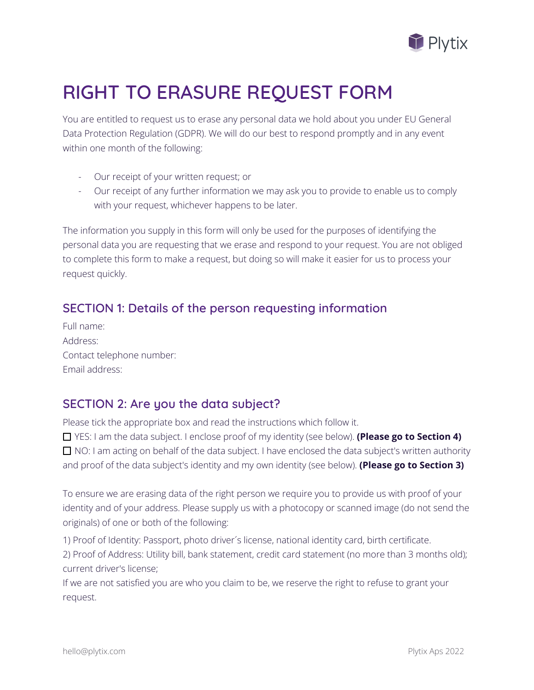

# **RIGHT TO ERASURE REQUEST FORM**

You are entitled to request us to erase any personal data we hold about you under EU General Data Protection Regulation (GDPR). We will do our best to respond promptly and in any event within one month of the following:

- Our receipt of your written request; or
- Our receipt of any further information we may ask you to provide to enable us to comply with your request, whichever happens to be later.

The information you supply in this form will only be used for the purposes of identifying the personal data you are requesting that we erase and respond to your request. You are not obliged to complete this form to make a request, but doing so will make it easier for us to process your request quickly.

# **SECTION 1: Details of the person requesting information**

| Full name:                |
|---------------------------|
| Address:                  |
| Contact telephone number: |
| Email address:            |

# **SECTION 2: Are you the data subject?**

Please tick the appropriate box and read the instructions which follow it.

 YES: I am the data subject. I enclose proof of my identity (see below). **(Please go to Section 4)**  $\Box$  NO: I am acting on behalf of the data subject. I have enclosed the data subject's written authority and proof of the data subject's identity and my own identity (see below). **(Please go to Section 3)**

To ensure we are erasing data of the right person we require you to provide us with proof of your identity and of your address. Please supply us with a photocopy or scanned image (do not send the originals) of one or both of the following:

1) Proof of Identity: Passport, photo driver´s license, national identity card, birth certificate. 2) Proof of Address: Utility bill, bank statement, credit card statement (no more than 3 months old); current driver's license;

If we are not satisfied you are who you claim to be, we reserve the right to refuse to grant your request.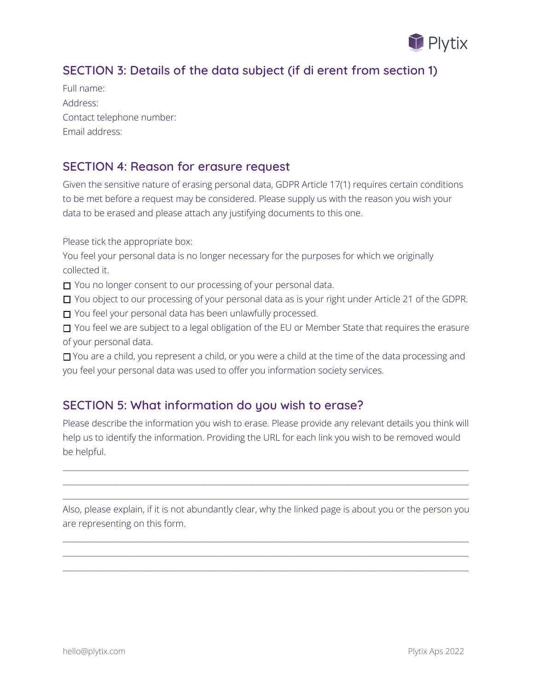

# **SECTION 3: Details of the data subject (if di erent from section 1)**

Full name: Address: Contact telephone number: Email address:

#### **SECTION 4: Reason for erasure request**

Given the sensitive nature of erasing personal data, GDPR Article 17(1) requires certain conditions to be met before a request may be considered. Please supply us with the reason you wish your data to be erased and please attach any justifying documents to this one.

Please tick the appropriate box:

You feel your personal data is no longer necessary for the purposes for which we originally collected it.

You no longer consent to our processing of your personal data.

□ You object to our processing of your personal data as is your right under Article 21 of the GDPR. □ You feel your personal data has been unlawfully processed.

□ You feel we are subject to a legal obligation of the EU or Member State that requires the erasure of your personal data.

 You are a child, you represent a child, or you were a child at the time of the data processing and you feel your personal data was used to offer you information society services.

# **SECTION 5: What information do you wish to erase?**

Please describe the information you wish to erase. Please provide any relevant details you think will help us to identify the information. Providing the URL for each link you wish to be removed would be helpful.

 $\_$  ,  $\_$  ,  $\_$  ,  $\_$  ,  $\_$  ,  $\_$  ,  $\_$  ,  $\_$  ,  $\_$  ,  $\_$  ,  $\_$  ,  $\_$  ,  $\_$  ,  $\_$  ,  $\_$  ,  $\_$  ,  $\_$  ,  $\_$  ,  $\_$  ,  $\_$  ,  $\_$  ,  $\_$  ,  $\_$  ,  $\_$  ,  $\_$  ,  $\_$  ,  $\_$  ,  $\_$  ,  $\_$  ,  $\_$  ,  $\_$  ,  $\_$  ,  $\_$  ,  $\_$  ,  $\_$  ,  $\_$  ,  $\_$  ,  $\_$  ,  $\_$  ,  $\_$  ,  $\_$  ,  $\_$  ,  $\_$  ,  $\_$  ,  $\_$  ,  $\_$  ,  $\_$  ,  $\_$  ,  $\_$  ,  $\_$  ,  $\_$  ,  $\_$  ,  $\_$  ,  $\_$  ,  $\_$  ,  $\_$  ,  $\_$  ,  $\_$  ,  $\_$  ,  $\_$  ,  $\_$  ,  $\_$  ,  $\_$  ,  $\_$  ,  $\_$  ,  $\_$  ,  $\_$  ,  $\_$  ,  $\_$  ,  $\_$  ,  $\_$  ,  $\_$  ,  $\_$  ,  $\_$  ,  $\_$  ,  $\_$  ,  $\_$  ,  $\_$  ,  $\_$  ,  $\_$  ,  $\_$  ,  $\_$  ,  $\_$  ,  $\_$  ,  $\_$  ,  $\_$  ,  $\_$  ,  $\_$  ,  $\_$  ,  $\_$  ,  $\_$  ,  $\_$  ,  $\_$  ,  $\_$  ,  $\_$  ,  $\_$  ,  $\_$  ,  $\_$  ,  $\_$  ,  $\_$  ,  $\_$  ,  $\_$  ,  $\_$  ,  $\_$  ,  $\_$  ,  $\_$  ,  $\_$  ,  $\_$  ,  $\_$  ,  $\_$  ,  $\_$  ,

Also, please explain, if it is not abundantly clear, why the linked page is about you or the person you are representing on this form.

 $\_$  ,  $\_$  ,  $\_$  ,  $\_$  ,  $\_$  ,  $\_$  ,  $\_$  ,  $\_$  ,  $\_$  ,  $\_$  ,  $\_$  ,  $\_$  ,  $\_$  ,  $\_$  ,  $\_$  ,  $\_$  ,  $\_$  ,  $\_$  ,  $\_$  ,  $\_$  ,  $\_$  ,  $\_$  ,  $\_$  ,  $\_$  ,  $\_$  ,  $\_$  ,  $\_$  ,  $\_$  ,  $\_$  ,  $\_$  ,  $\_$  ,  $\_$  ,  $\_$  ,  $\_$  ,  $\_$  ,  $\_$  ,  $\_$  ,  $\_$  ,  $\_$  ,  $\_$  ,  $\_$  ,  $\_$  ,  $\_$  ,  $\_$  ,  $\_$  ,  $\_$  ,  $\_$  ,  $\_$  ,  $\_$  ,  $\_$  ,  $\_$  ,  $\_$  ,  $\_$  ,  $\_$  ,  $\_$  ,  $\_$  ,  $\_$  ,  $\_$  ,  $\_$  ,  $\_$  ,  $\_$  ,  $\_$  ,  $\_$  ,  $\_$  ,  $\_$  ,  $\_$  ,  $\_$  ,  $\_$  ,  $\_$  ,  $\_$  ,  $\_$  ,  $\_$  ,  $\_$  ,  $\_$  ,  $\_$  ,  $\_$  ,  $\_$  ,  $\_$  ,  $\_$  ,  $\_$  ,  $\_$  ,  $\_$  ,  $\_$  ,  $\_$  ,  $\_$  ,  $\_$  ,  $\_$  ,  $\_$  ,  $\_$  ,  $\_$  ,  $\_$  ,  $\_$  ,  $\_$  ,  $\_$  ,  $\_$  ,  $\_$  ,  $\_$  ,  $\_$  ,  $\_$  ,  $\_$  ,  $\_$  ,  $\_$  ,  $\_$  ,  $\_$  ,  $\_$  ,  $\_$  ,  $\_$  ,  $\_$  ,  $\_$  ,  $\_$  ,  $\_$  ,